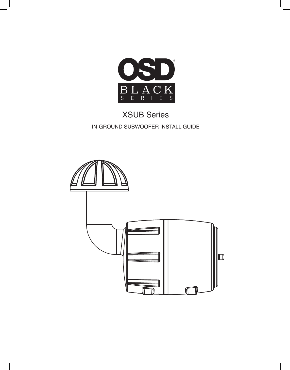

# XSUB Series IN-GROUND SUBWOOFER INSTALL GUIDE

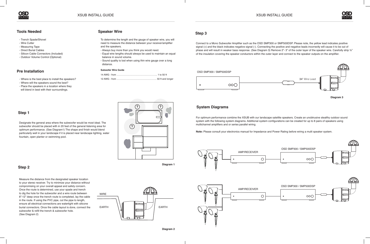



### **Tools Needed**

# **Pre Installation**

# **Speaker Wire**

# **System Diagrams**

## **Step 1**

# **Step 2**

# **Step 3**

- Trench Spade/Shovel
- Wire Cutter
- Measuring Tape
- Direct Burial Cables
- Silicon Cable Connectors (Included)
- Outdoor Volume Control (Optional)

Designate the general area where the subwoofer would be most ideal. The subwoofer should be placed with in 20 feet of the general listening area for optimum performance. (See Diagram1) The shape and finish would blend particularly well in your landscape if it is placed near landscape lighting, water fountain, open planter or swimming pool.

Measure the distance from the designated speaker location to your stereo receiver. Try to minimize your distance without compromising on your overall appeal and safety concern. Once the route is determined, use your spade and trench to dig the hole for the subwoofer and a wire route between 8"-12" deep once the trench route is completed, lay the cable in the route. If using the PVC pipe, cut the pipe to length, ensure all electrical connections are watertight with silicone burial connectors. Once the cable layout is done, connect the subwoofer & refill the trench & subwoofer hole. (See Diagram 2)

Connect to a Mono Subwoofer Amplifier such as the OSD SMP300 or SMP500DSP. Please note, the yellow lead indicates positive signal (+) and the black indicates negative signal (-). Connecting the positive and negative leads incorrectly will cause it to be out of phase and will result in weaker bass response. (See Diagram 3) Remove 2"- 3" of the outer layer of the speaker wire. Carefully strip 1/2" of the insulation covering the speaker conductors within the outer layer and connect to the speaker outputs on the amplifier.

For optimum performance combine the XSUB with our landscape satellite speakers. Create an unobtrusive stealthy outdoor sound system with the following system diagrams. Additional system configurations can be created for up to 8 pairs of speakers using multichannel amplifiers and or series parallel wiring.

**Note:** Please consult your electronics manual for Impedance and Power Rating before wiring a multi speaker system.

- Where is the best place to install the speakers?
- Where will the speakers sound the best?
- Place the speakers in a location where they
- will blend in best with their surroundings.

To determine the length and the gauge of speaker wire, you will need to measure the distance between your receiver/amplifier and the speakers.

- Always buy more than you think you would need.
- Equal wire lengths should always be used to maintain an equal balance in sound volume.
- Sound quality is lost when using thin wire gauge over a long distance.

#### **Subwofer Wire Guide**







**Diagram 1**

**?**

**? ?**